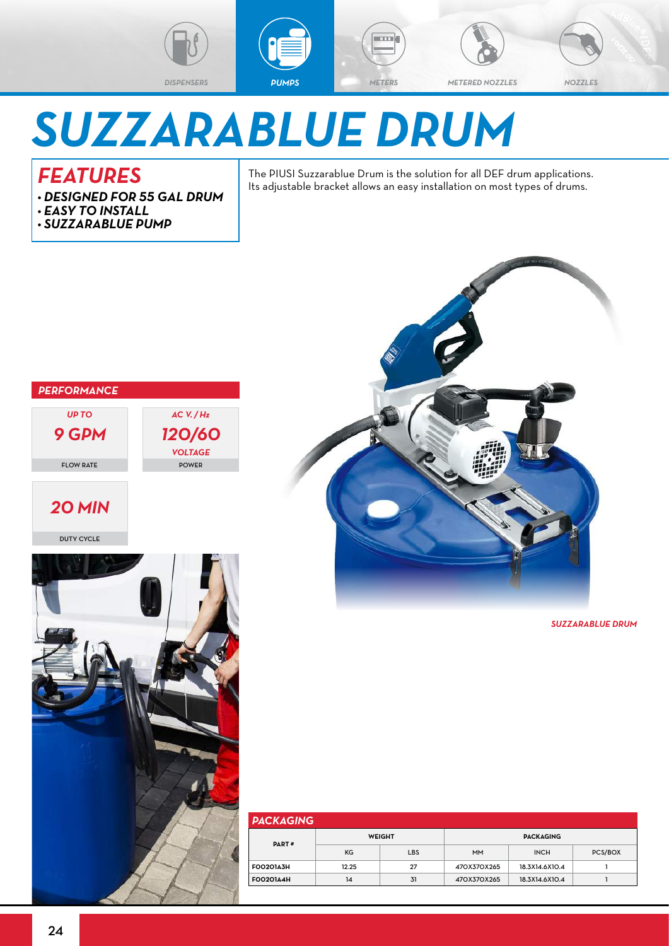



and a

```
DISPENSERS PUMPS METERS METERED NOZZLES NOZZLES
```
## *SUZZARABLUE DRUM*

## *FEATURES*

- *• DESIGNED FOR 55 GAL DRUM*
- *• EASY TO INSTALL*
- *• SUZZARABLUE PUMP*

The PIUSI Suzzarablue Drum is the solution for all DEF drum applications. Its adjustable bracket allows an easy installation on most types of drums.



*SUZZARABLUE DRUM*

| <b>PACKAGING</b> |       |               |                  |                |         |  |  |  |  |  |
|------------------|-------|---------------|------------------|----------------|---------|--|--|--|--|--|
| PART#            |       | <b>WEIGHT</b> | <b>PACKAGING</b> |                |         |  |  |  |  |  |
|                  | KG    | <b>LBS</b>    | <b>MM</b>        | <b>INCH</b>    | PCS/BOX |  |  |  |  |  |
| <b>FOO2O1A3H</b> | 12.25 | 27            | 470X370X265      | 18.3X14.6X10.4 |         |  |  |  |  |  |
| <b>FOO2O144H</b> | 14    | 31            | 470X370X265      | 18.3X14.6X10.4 |         |  |  |  |  |  |



*20 MIN*

DUTY CYCLE